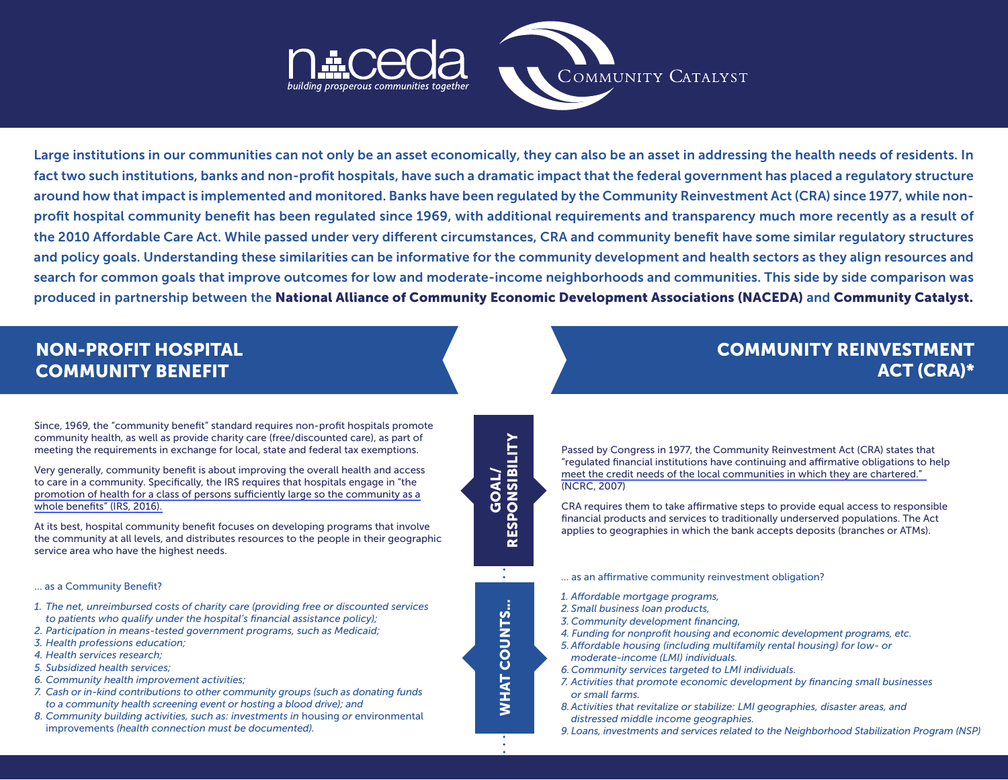

Large institutions in our communities can not only be an asset economically, they can also be an asset in addressing the health needs of residents. In fact two such institutions, banks and non-profit hospitals, have such a dramatic impact that the federal government has placed a regulatory structure around how that impact is implemented and monitored. Banks have been regulated by the Community Reinvestment Act (CRA) since 1977, while nonprofit hospital community benefit has been regulated since 1969, with additional requirements and transparency much more recently as a result of the 2010 Affordable Care Act. While passed under very different circumstances, CRA and community benefit have some similar regulatory structures and policy goals. Understanding these similarities can be informative for the community development and health sectors as they align resources and search for common goals that improve outcomes for low and moderate-income neighborhoods and communities. This side by side comparison was produced in partnership between the National Alliance of Community Economic Development Associations (NACEDA) and Community Catalyst.

> GOAL/<br>RESPONSIBILITY RESPONSIBILITY

> > WHAT COUNTS...

**WHAT COUNTS...** 

## NON-PROFIT HOSPITAL COMMUNITY BENEFIT

Since, 1969, the "community benefit" standard requires non-profit hospitals promote community health, as well as provide charity care (free/discounted care), as part of meeting the requirements in exchange for local, state and federal tax exemptions.

Very generally, community benefit is about improving the overall health and access to care in a community. Specifically, the IRS requires that hospitals engage in "the [promotion of health for a class of persons sufficiently large so the community as a](https://www.irs.gov/charities-non-profits/charitable-organizations/new-requirements-for-501c3-hospitals-under-the-affordable-care-act) [whole benefits" \(IRS, 2016\).](https://www.irs.gov/charities-non-profits/charitable-organizations/new-requirements-for-501c3-hospitals-under-the-affordable-care-act)

At its best, hospital community benefit focuses on developing programs that involve the community at all levels, and distributes resources to the people in their geographic service area who have the highest needs.

#### … as a Community Benefit?

- *1. The net, unreimbursed costs of charity care (providing free or discounted services to patients who qualify under the hospital's financial assistance policy);*
- *2. Participation in means-tested government programs, such as Medicaid;*
- *3. Health professions education;*
- *4. Health services research;*
- *5. Subsidized health services;*
- *6. Community health improvement activities;*
- *7. Cash or in-kind contributions to other community groups (such as donating funds to a community health screening event or hosting a blood drive); and*
- *8. Community building activities, such as: investments in* housing *or* environmental improvements *(health connection must be documented).*

### COMMUNITY REINVESTMENT ACT (CRA)\*

Passed by Congress in 1977, the Community Reinvestment Act (CRA) states that ["regulated financial institutions have continuing and affirmative obligations to](http://www.ncrc.org/images/stories/pdf/cra_manual.pdf) help meet the credit needs of the local communities in which they are chartered." (NCRC, 2007)

CRA requires them to take affirmative steps to provide equal access to responsible financial products and services to traditionally underserved populations. The Act applies to geographies in which the bank accepts deposits (branches or ATMs).

- ... as an affirmative community reinvestment obligation?
- *1. Affordable mortgage programs,*
- *2. Small business loan products,*
- *3. Community development financing,*
- *4. Funding for nonprofit housing and economic development programs, etc.*
- *5. Affordable housing (including multifamily rental housing) for low- or moderate-income (LMI) individuals.*
- *6. Community services targeted to LMI individuals.*
- *7. Activities that promote economic development by financing small businesses or small farms.*
- *8.Activities that revitalize or stabilize: LMI geographies, disaster areas, and distressed middle income geographies.*
- *9. Loans, investments and services related to the Neighborhood Stabilization Program (NSP)*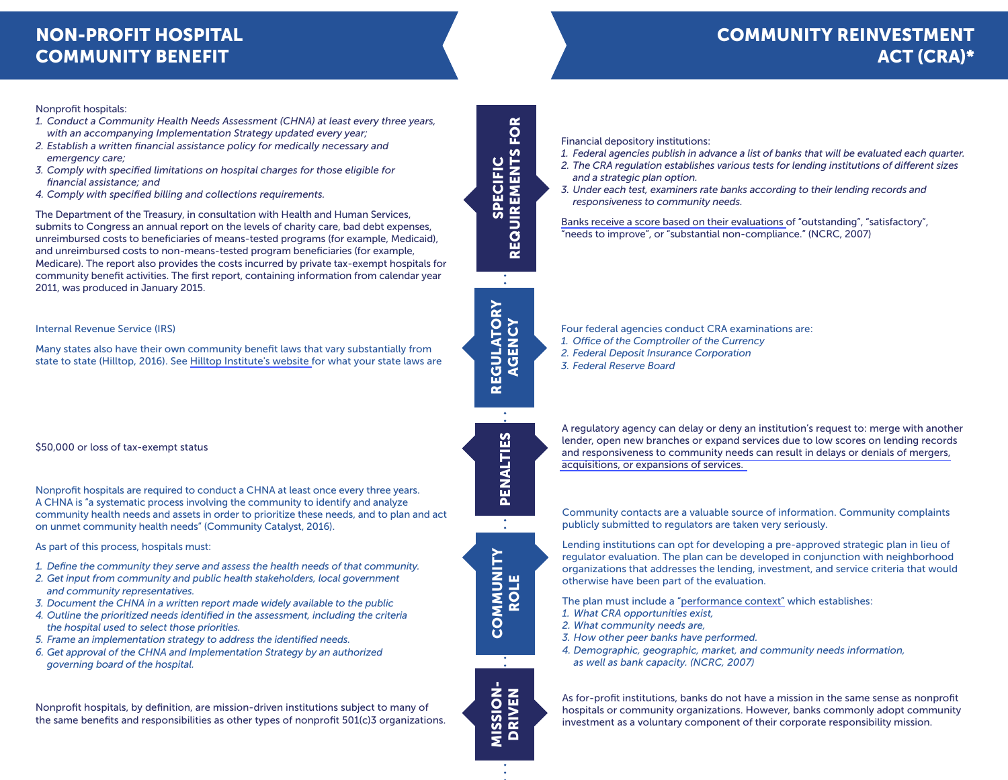# NON-PROFIT HOSPITAL COMMUNITY BENEFIT

## COMMUNITY REINVESTMENT ACT (CRA)\*

#### Nonprofit hospitals:

- *1. Conduct a Community Health Needs Assessment (CHNA) at least every three years, with an accompanying Implementation Strategy updated every year;*
- *2. Establish a written financial assistance policy for medically necessary and emergency care;*
- *3. Comply with specified limitations on hospital charges for those eligible for financial assistance; and*
- *4. Comply with specified billing and collections requirements.*

The Department of the Treasury, in consultation with Health and Human Services, submits to Congress an annual report on the levels of charity care, bad debt expenses, unreimbursed costs to beneficiaries of means-tested programs (for example, Medicaid), and unreimbursed costs to non-means-tested program beneficiaries (for example, Medicare). The report also provides the costs incurred by private tax-exempt hospitals for community benefit activities. The first report, containing information from calendar year 2011, was produced in January 2015.

#### Internal Revenue Service (IRS)

Many states also have their own community benefit laws that vary substantially from state to state (Hilltop, 2016). See [Hilltop Institute's website f](http://www.hilltopinstitute.org/hcbp_cbl.cfm)or what your state laws are

\$50,000 or loss of tax-exempt status

Nonprofit hospitals are required to conduct a CHNA at least once every three years. A CHNA is "a systematic process involving the community to identify and analyze community health needs and assets in order to prioritize these needs, and to plan and act on unmet community health needs" (Community Catalyst, 2016).

As part of this process, hospitals must:

- *1. Define the community they serve and assess the health needs of that community.*
- *2. Get input from community and public health stakeholders, local government and community representatives.*
- *3. Document the CHNA in a written report made widely available to the public*
- *4. Outline the prioritized needs identified in the assessment, including the criteria the hospital used to select those priorities.*
- *5. Frame an implementation strategy to address the identified needs.*
- *6. Get approval of the CHNA and Implementation Strategy by an authorized governing board of the hospital.*

Nonprofit hospitals, by definition, are mission-driven institutions subject to many of the same benefits and responsibilities as other types of nonprofit 501(c)3 organizations.

**REQUIREMENTS FOR** REQUIREMENTS FOR **SPECIFIC** SPECIFIC

 $\bullet$ 

Financial depository institutions:

- *1. Federal agencies publish in advance a list of banks that will be evaluated each quarter.*
- *2. The CRA regulation establishes various tests for lending institutions of different sizes and a strategic plan option.*
- *3. Under each test, examiners rate banks according to their lending records and responsiveness to community needs.*

[Banks receive a score based on their evaluations o](http://www.ncrc.org/images/stories/pdf/cra_manual.pdf)f "outstanding", "satisfactory", "needs to improve", or "substantial non-compliance." (NCRC, 2007)

Four federal agencies conduct CRA examinations are:

- *1. Office of the Comptroller of the Currency*
- *2. Federal Deposit Insurance Corporation*
- *3. Federal Reserve Board*

A regulatory agency can delay or deny an institution's request to: merge with another lender, open new branches or expand services due to low scores on lending records [and responsiveness to community needs can result in delays or denials of mergers,](http://www.ncrc.org/images/stories/pdf/cra_manual.pdf)  [acquisitions, or expansions of services.](http://www.ncrc.org/images/stories/pdf/cra_manual.pdf)

Community contacts are a valuable source of information. Community complaints publicly submitted to regulators are taken very seriously.

Lending institutions can opt for developing a pre-approved strategic plan in lieu of regulator evaluation. The plan can be developed in conjunction with neighborhood organizations that addresses the lending, investment, and service criteria that would otherwise have been part of the evaluation.

The plan must include a ["performance context"](http://www.ncrc.org/images/stories/pdf/cra_manual.pdf) which establishes:

- *1. What CRA opportunities exist,*
- *2. What community needs are,*
- *3. How other peer banks have performed.*
- *4. Demographic, geographic, market, and community needs information, as well as bank capacity. (NCRC, 2007)*

As for-profit institutions, banks do not have a mission in the same sense as nonprofit hospitals or community organizations. However, banks commonly adopt community investment as a voluntary component of their corporate responsibility mission.

COMMUNITY COMMUNITY ROLE





REGULATORY AGENCY

REGULATORY AGENCY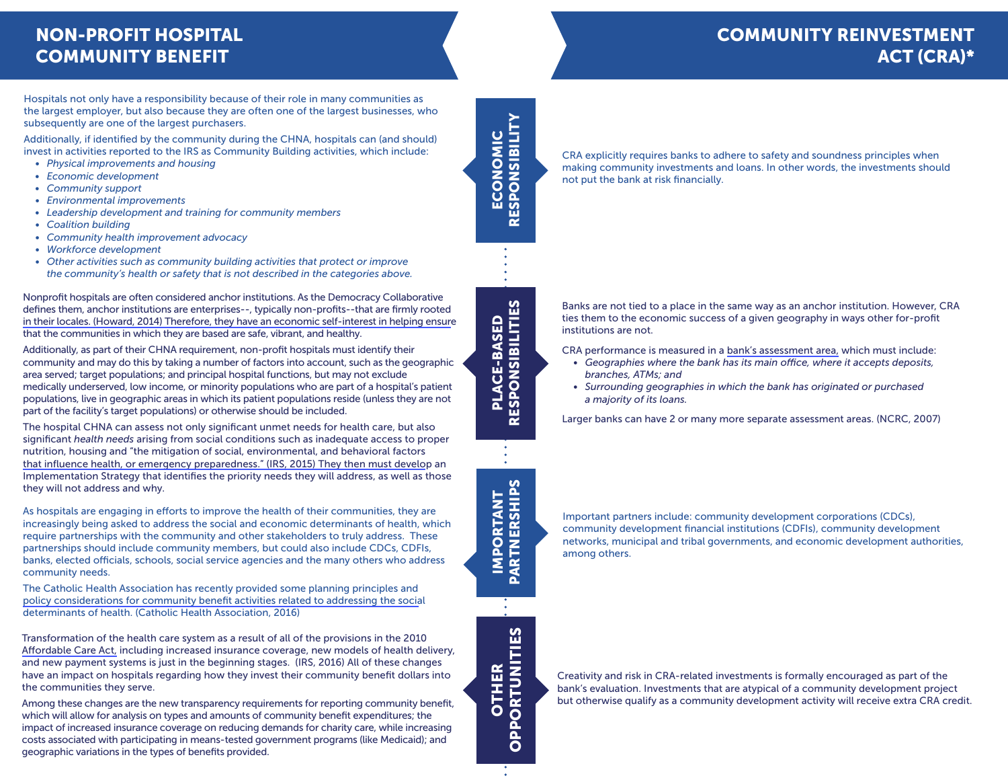## NON-PROFIT HOSPITAL COMMUNITY BENEFIT

# COMMUNITY REINVESTMENT ACT (CRA)\*

Hospitals not only have a responsibility because of their role in many communities as the largest employer, but also because they are often one of the largest businesses, who subsequently are one of the largest purchasers.

Additionally, if identified by the community during the CHNA, hospitals can (and should) invest in activities reported to the IRS as Community Building activities, which include:

- *Physical improvements and housing*
- *Economic development*
- *• Community support*
- *• Environmental improvements*
- *• Leadership development and training for community members*
- *• Coalition building*
- *• Community health improvement advocacy*
- *• Workforce development*
- *• Other activities such as community building activities that protect or improve the community's health or safety that is not described in the categories above.*

Nonprofit hospitals are often considered anchor institutions. As the Democracy Collaborative [defines them, anchor institutions are enterprises--, typically non-profits--that are firmly rooted](http://www.governing.com/gov-institute/voices/col-communities-local-government-anchor-institutions-democracy-collaborative-dashboard.html)  in their locales. (Howard, 2014) Therefore, they have an economic self-interest in helping ensure that the communities in which they are based are safe, vibrant, and healthy.

Additionally, as part of their CHNA requirement, non-profit hospitals must identify their community and may do this by taking a number of factors into account, such as the geographic area served; target populations; and principal hospital functions, but may not exclude medically underserved, low income, or minority populations who are part of a hospital's patient populations, live in geographic areas in which its patient populations reside (unless they are not part of the facility's target populations) or otherwise should be included.

The hospital CHNA can assess not only significant unmet needs for health care, but also significant *health needs* arising from social conditions such as inadequate access to proper [nutrition, housing and "the mitigation of social, environmental, and behavioral factors](https://www.irs.gov/pub/irs-pdf/i990sh.pdf) that influence health, or emergency preparedness." (IRS, 2015) They then must develop an Implementation Strategy that identifies the priority needs they will address, as well as those they will not address and why.

As hospitals are engaging in efforts to improve the health of their communities, they are increasingly being asked to address the social and economic determinants of health, which require partnerships with the community and other stakeholders to truly address. These partnerships should include community members, but could also include CDCs, CDFIs, banks, elected officials, schools, social service agencies and the many others who address community needs.

[The Catholic Health Association has recently provided some planning principles and](https://images.magnetmail.net/images/clients/CAHA/attach/Principles_for_Planning_and_Reporting_v3.pdf)  policy considerations for community benefit activities related to addressing the social determinants of health. (Catholic Health Association, 2016)

Transformation of the health care system as a result of all of the provisions in the 2010 [Affordable Care Act,](https://www.irs.gov/charities-non-profits/charitable-organizations/new-requirements-for-501c3-hospitals-under-the-affordable-care-act) including increased insurance coverage, new models of health delivery, and new payment systems is just in the beginning stages. (IRS, 2016) All of these changes have an impact on hospitals regarding how they invest their community benefit dollars into the communities they serve.

Among these changes are the new transparency requirements for reporting community benefit, which will allow for analysis on types and amounts of community benefit expenditures; the impact of increased insurance coverage on reducing demands for charity care, while increasing costs associated with participating in means-tested government programs (like Medicaid); and geographic variations in the types of benefits provided.

RESPONSIBILITY RESPONSIBILITY CONOMIC ECONOMIC ш

CRA explicitly requires banks to adhere to safety and soundness principles when making community investments and loans. In other words, the investments should not put the bank at risk financially.

Banks are not tied to a place in the same way as an anchor institution. However, CRA ties them to the economic success of a given geography in ways other for-profit institutions are not.

CRA performance is measured in a [bank's assessment area,](http://www.ncrc.org/images/stories/pdf/cra_manual.pdf) which must include:

- *Geographies where the bank has its main office, where it accepts deposits, branches, ATMs; and*
- *Surrounding geographies in which the bank has originated or purchased a majority of its loans.*

Larger banks can have 2 or many more separate assessment areas. (NCRC, 2007)

Important partners include: community development corporations (CDCs), community development financial institutions (CDFIs), community development networks, municipal and tribal governments, and economic development authorities, among others.

Creativity and risk in CRA-related investments is formally encouraged as part of the bank's evaluation. Investments that are atypical of a community development project but otherwise qualify as a community development activity will receive extra CRA credit.

**PARTNERSHIPS** PARTNERSHIPS **IMPORTANT** IMPORTANT

OTHER OPPORTUNITIES

**OPPORTUNITIES** 

PLACE-BASED RESPONSIBILITIES

RESPONSIBILITIES PLACE-BASED